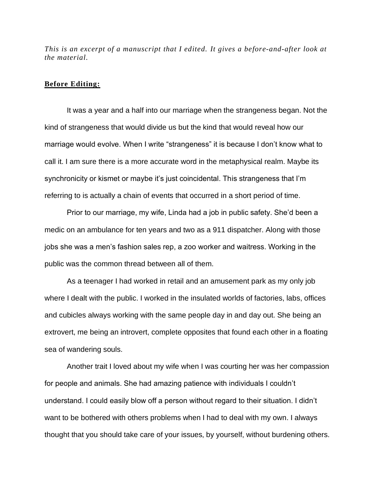*This is an excerpt of a manuscript that I edited. It gives a before-and-after look at the material.*

## **Before Editing:**

It was a year and a half into our marriage when the strangeness began. Not the kind of strangeness that would divide us but the kind that would reveal how our marriage would evolve. When I write "strangeness" it is because I don't know what to call it. I am sure there is a more accurate word in the metaphysical realm. Maybe its synchronicity or kismet or maybe it's just coincidental. This strangeness that I'm referring to is actually a chain of events that occurred in a short period of time.

Prior to our marriage, my wife, Linda had a job in public safety. She'd been a medic on an ambulance for ten years and two as a 911 dispatcher. Along with those jobs she was a men's fashion sales rep, a zoo worker and waitress. Working in the public was the common thread between all of them.

As a teenager I had worked in retail and an amusement park as my only job where I dealt with the public. I worked in the insulated worlds of factories, labs, offices and cubicles always working with the same people day in and day out. She being an extrovert, me being an introvert, complete opposites that found each other in a floating sea of wandering souls.

Another trait I loved about my wife when I was courting her was her compassion for people and animals. She had amazing patience with individuals I couldn't understand. I could easily blow off a person without regard to their situation. I didn't want to be bothered with others problems when I had to deal with my own. I always thought that you should take care of your issues, by yourself, without burdening others.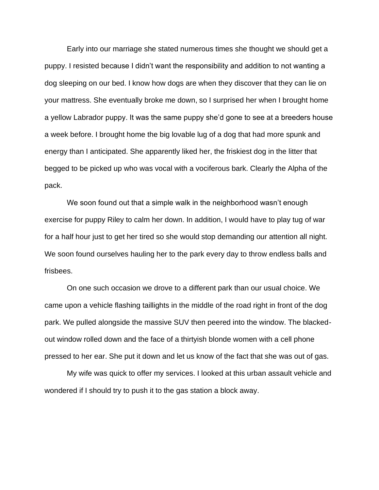Early into our marriage she stated numerous times she thought we should get a puppy. I resisted because I didn't want the responsibility and addition to not wanting a dog sleeping on our bed. I know how dogs are when they discover that they can lie on your mattress. She eventually broke me down, so I surprised her when I brought home a yellow Labrador puppy. It was the same puppy she'd gone to see at a breeders house a week before. I brought home the big lovable lug of a dog that had more spunk and energy than I anticipated. She apparently liked her, the friskiest dog in the litter that begged to be picked up who was vocal with a vociferous bark. Clearly the Alpha of the pack.

We soon found out that a simple walk in the neighborhood wasn't enough exercise for puppy Riley to calm her down. In addition, I would have to play tug of war for a half hour just to get her tired so she would stop demanding our attention all night. We soon found ourselves hauling her to the park every day to throw endless balls and frisbees.

On one such occasion we drove to a different park than our usual choice. We came upon a vehicle flashing taillights in the middle of the road right in front of the dog park. We pulled alongside the massive SUV then peered into the window. The blackedout window rolled down and the face of a thirtyish blonde women with a cell phone pressed to her ear. She put it down and let us know of the fact that she was out of gas.

My wife was quick to offer my services. I looked at this urban assault vehicle and wondered if I should try to push it to the gas station a block away.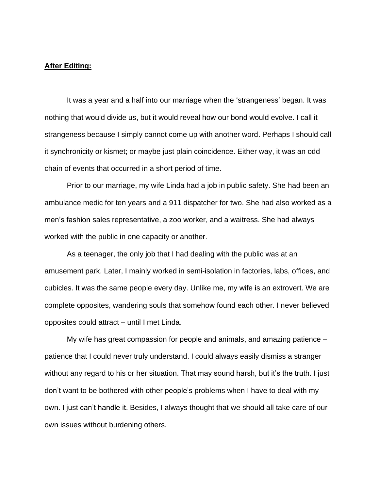## **After Editing:**

It was a year and a half into our marriage when the 'strangeness' began. It was nothing that would divide us, but it would reveal how our bond would evolve. I call it strangeness because I simply cannot come up with another word. Perhaps I should call it synchronicity or kismet; or maybe just plain coincidence. Either way, it was an odd chain of events that occurred in a short period of time.

Prior to our marriage, my wife Linda had a job in public safety. She had been an ambulance medic for ten years and a 911 dispatcher for two. She had also worked as a men's fashion sales representative, a zoo worker, and a waitress. She had always worked with the public in one capacity or another.

As a teenager, the only job that I had dealing with the public was at an amusement park. Later, I mainly worked in semi-isolation in factories, labs, offices, and cubicles. It was the same people every day. Unlike me, my wife is an extrovert. We are complete opposites, wandering souls that somehow found each other. I never believed opposites could attract – until I met Linda.

My wife has great compassion for people and animals, and amazing patience – patience that I could never truly understand. I could always easily dismiss a stranger without any regard to his or her situation. That may sound harsh, but it's the truth. I just don't want to be bothered with other people's problems when I have to deal with my own. I just can't handle it. Besides, I always thought that we should all take care of our own issues without burdening others.